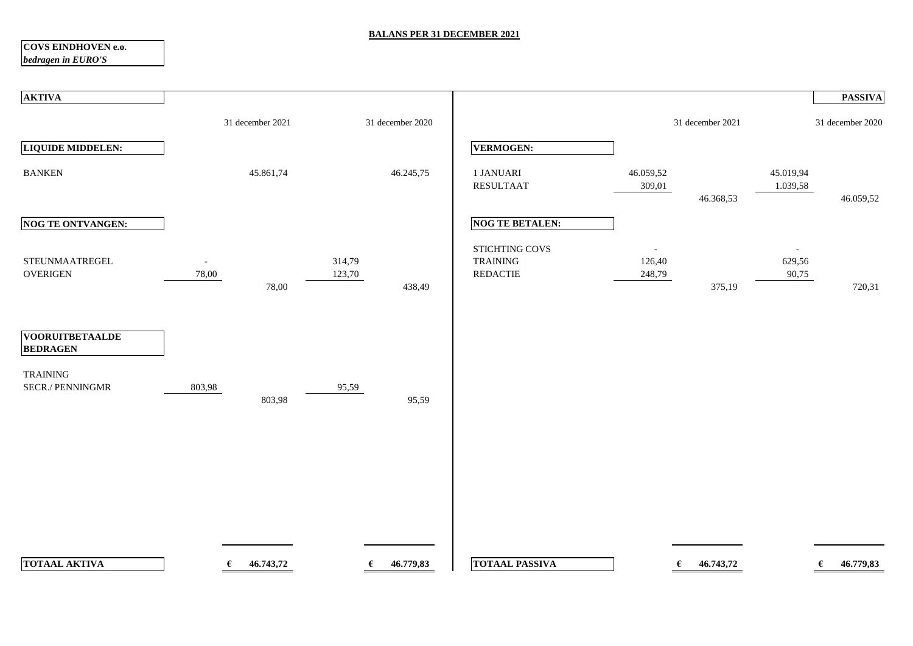## **BALANS PER 31 DECEMBER 2021**

## **COVS EINDHOVEN e.o.** *bedragen in EURO'S*

| <b>AKTIVA</b>                                                |                         |           |                  |           |                                                      |                            |                  |                           | <b>PASSIVA</b>   |
|--------------------------------------------------------------|-------------------------|-----------|------------------|-----------|------------------------------------------------------|----------------------------|------------------|---------------------------|------------------|
|                                                              | 31 december 2021        |           | 31 december 2020 |           |                                                      |                            | 31 december 2021 |                           | 31 december 2020 |
| <b>LIQUIDE MIDDELEN:</b>                                     |                         |           |                  |           | <b>VERMOGEN:</b>                                     |                            |                  |                           |                  |
| <b>BANKEN</b>                                                |                         | 45.861,74 |                  | 46.245,75 | 1 JANUARI<br><b>RESULTAAT</b>                        | 46.059,52<br>309,01        | 46.368,53        | 45.019,94<br>1.039,58     | 46.059,52        |
| <b>NOG TE ONTVANGEN:</b>                                     |                         |           |                  |           | <b>NOG TE BETALEN:</b>                               |                            |                  |                           |                  |
| STEUNMAATREGEL<br><b>OVERIGEN</b>                            | $\blacksquare$<br>78,00 | 78,00     | 314,79<br>123,70 | 438,49    | STICHTING COVS<br><b>TRAINING</b><br><b>REDACTIE</b> | $\sim$<br>126,40<br>248,79 | 375,19           | $\sim$<br>629,56<br>90,75 | 720,31           |
| <b>VOORUITBETAALDE</b><br><b>BEDRAGEN</b><br><b>TRAINING</b> |                         |           |                  |           |                                                      |                            |                  |                           |                  |
| SECR./ PENNINGMR                                             | 803,98                  | 803,98    | 95,59            | 95,59     |                                                      |                            |                  |                           |                  |
|                                                              |                         |           |                  |           |                                                      |                            |                  |                           |                  |
|                                                              |                         |           |                  |           |                                                      |                            |                  |                           |                  |
|                                                              |                         |           |                  |           |                                                      |                            |                  |                           |                  |
| <b>TOTAAL AKTIVA</b>                                         | €                       | 46.743,72 |                  | 46.779,83 | <b>TOTAAL PASSIVA</b>                                | €                          | 46.743,72        | €                         | 46.779,83        |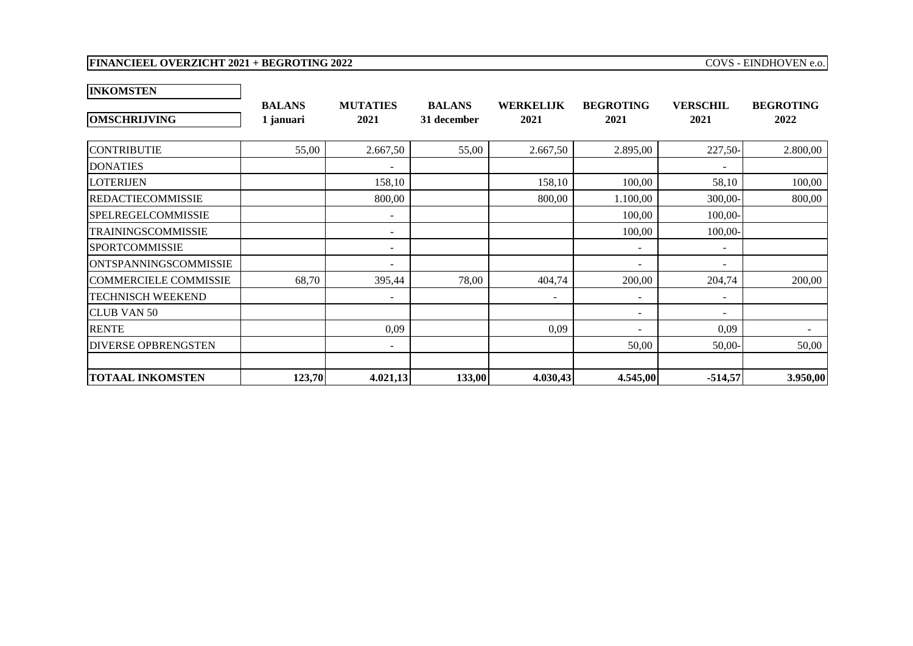## **FINANCIEEL OVERZICHT 2021 + BEGROTING 2022** COVS - EINDHOVEN e.o.

┑

**INKOMSTEN**

|                              | <b>BALANS</b> | <b>MUTATIES</b>          | <b>BALANS</b> | <b>WERKELIJK</b> | <b>BEGROTING</b>         | <b>VERSCHIL</b>          | <b>BEGROTING</b> |  |
|------------------------------|---------------|--------------------------|---------------|------------------|--------------------------|--------------------------|------------------|--|
| <b>OMSCHRIJVING</b>          | 1 januari     | 2021                     | 31 december   | 2021             | 2021                     | 2021                     | 2022             |  |
| <b>CONTRIBUTIE</b>           | 55,00         | 2.667,50                 | 55,00         | 2.667,50         | 2.895,00                 | 227,50-                  | 2.800,00         |  |
| <b>DONATIES</b>              |               |                          |               |                  |                          |                          |                  |  |
| <b>LOTERIJEN</b>             |               | 158,10                   |               | 158,10           | 100,00                   | 58,10                    | 100,00           |  |
| <b>REDACTIECOMMISSIE</b>     |               | 800,00                   |               | 800,00           | 1.100,00                 | 300,00                   | 800,00           |  |
| SPELREGELCOMMISSIE           |               | ۰.                       |               |                  | 100,00                   | $100,00-$                |                  |  |
| TRAININGSCOMMISSIE           |               | ۰.                       |               |                  | 100,00                   | 100,00-                  |                  |  |
| <b>SPORTCOMMISSIE</b>        |               | $\sim$                   |               |                  | $\overline{\phantom{0}}$ | ۰                        |                  |  |
| ONTSPANNINGSCOMMISSIE        |               | $\overline{\phantom{0}}$ |               |                  | $\sim$                   | $\overline{\phantom{a}}$ |                  |  |
| <b>COMMERCIELE COMMISSIE</b> | 68,70         | 395,44                   | 78,00         | 404,74           | 200,00                   | 204,74                   | 200,00           |  |
| <b>TECHNISCH WEEKEND</b>     |               |                          |               |                  |                          | $\overline{\phantom{a}}$ |                  |  |
| <b>CLUB VAN 50</b>           |               |                          |               |                  | $\overline{\phantom{a}}$ |                          |                  |  |
| <b>RENTE</b>                 |               | 0,09                     |               | 0,09             | $\sim$                   | 0,09                     |                  |  |
| <b>DIVERSE OPBRENGSTEN</b>   |               | $\sim$                   |               |                  | 50,00                    | $50,00-$                 | 50,00            |  |
| <b>TOTAAL INKOMSTEN</b>      | 123,70        | 4.021,13                 | 133,00        | 4.030,43         | 4.545,00                 | $-514,57$                | 3.950,00         |  |